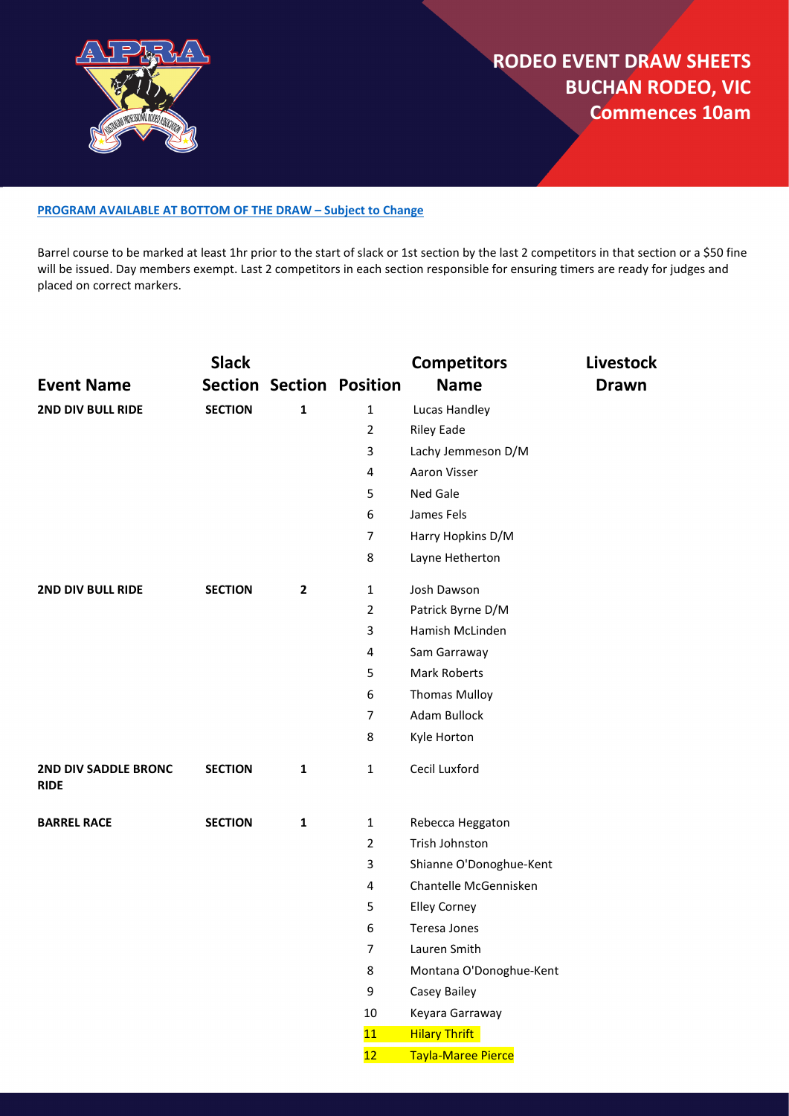

#### **[PROGRAM AVAILABLE AT BOTTOM OF THE DRAW](#page-3-0) – Subject to Change**

Barrel course to be marked at least 1hr prior to the start of slack or 1st section by the last 2 competitors in that section or a \$50 fine will be issued. Day members exempt. Last 2 competitors in each section responsible for ensuring timers are ready for judges and placed on correct markers.

|                                            | <b>Slack</b>   |                |                                 | <b>Competitors</b>        | <b>Livestock</b> |
|--------------------------------------------|----------------|----------------|---------------------------------|---------------------------|------------------|
| <b>Event Name</b>                          |                |                | <b>Section Section Position</b> | <b>Name</b>               | <b>Drawn</b>     |
| 2ND DIV BULL RIDE                          | <b>SECTION</b> | $\mathbf{1}$   | $\mathbf{1}$                    | Lucas Handley             |                  |
|                                            |                |                | $\overline{2}$                  | <b>Riley Eade</b>         |                  |
|                                            |                |                | 3                               | Lachy Jemmeson D/M        |                  |
|                                            |                |                | 4                               | Aaron Visser              |                  |
|                                            |                |                | 5                               | Ned Gale                  |                  |
|                                            |                |                | 6                               | James Fels                |                  |
|                                            |                |                | $\overline{7}$                  | Harry Hopkins D/M         |                  |
|                                            |                |                | 8                               | Layne Hetherton           |                  |
| 2ND DIV BULL RIDE                          | <b>SECTION</b> | $\overline{2}$ | $\mathbf 1$                     | Josh Dawson               |                  |
|                                            |                |                | $\overline{2}$                  | Patrick Byrne D/M         |                  |
|                                            |                |                | 3                               | Hamish McLinden           |                  |
|                                            |                |                | 4                               | Sam Garraway              |                  |
|                                            |                |                | 5                               | <b>Mark Roberts</b>       |                  |
|                                            |                |                | 6                               | <b>Thomas Mulloy</b>      |                  |
|                                            |                |                | $\overline{7}$                  | Adam Bullock              |                  |
|                                            |                |                | 8                               | Kyle Horton               |                  |
| <b>2ND DIV SADDLE BRONC</b><br><b>RIDE</b> | <b>SECTION</b> | $\mathbf{1}$   | $\mathbf{1}$                    | Cecil Luxford             |                  |
| <b>BARREL RACE</b>                         | <b>SECTION</b> | $\mathbf 1$    | $\mathbf 1$                     | Rebecca Heggaton          |                  |
|                                            |                |                | $\overline{2}$                  | Trish Johnston            |                  |
|                                            |                |                | 3                               | Shianne O'Donoghue-Kent   |                  |
|                                            |                |                | 4                               | Chantelle McGennisken     |                  |
|                                            |                |                | 5                               | <b>Elley Corney</b>       |                  |
|                                            |                |                | 6                               | Teresa Jones              |                  |
|                                            |                |                | $\overline{7}$                  | Lauren Smith              |                  |
|                                            |                |                | 8                               | Montana O'Donoghue-Kent   |                  |
|                                            |                |                | 9                               | Casey Bailey              |                  |
|                                            |                |                | $10\,$                          | Keyara Garraway           |                  |
|                                            |                |                | 11                              | <b>Hilary Thrift</b>      |                  |
|                                            |                |                | 12                              | <b>Tayla-Maree Pierce</b> |                  |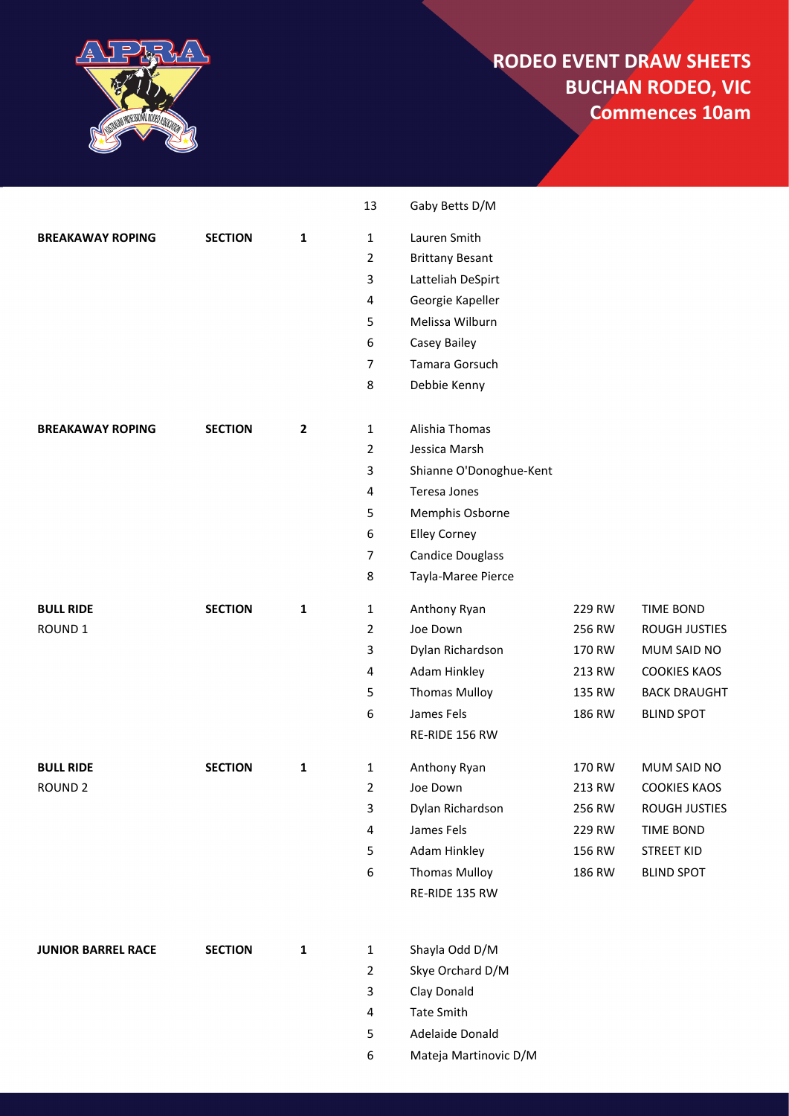

|                           |                |                | 13             | Gaby Betts D/M          |        |                      |
|---------------------------|----------------|----------------|----------------|-------------------------|--------|----------------------|
| <b>BREAKAWAY ROPING</b>   | <b>SECTION</b> | 1              | 1              | Lauren Smith            |        |                      |
|                           |                |                | 2              | <b>Brittany Besant</b>  |        |                      |
|                           |                |                | 3              | Latteliah DeSpirt       |        |                      |
|                           |                |                | 4              | Georgie Kapeller        |        |                      |
|                           |                |                | 5              | Melissa Wilburn         |        |                      |
|                           |                |                | 6              | Casey Bailey            |        |                      |
|                           |                |                | $\overline{7}$ | Tamara Gorsuch          |        |                      |
|                           |                |                | 8              | Debbie Kenny            |        |                      |
| <b>BREAKAWAY ROPING</b>   | <b>SECTION</b> | $\overline{2}$ | $\mathbf{1}$   | Alishia Thomas          |        |                      |
|                           |                |                | $\overline{2}$ | Jessica Marsh           |        |                      |
|                           |                |                | 3              | Shianne O'Donoghue-Kent |        |                      |
|                           |                |                | 4              | Teresa Jones            |        |                      |
|                           |                |                | 5              | Memphis Osborne         |        |                      |
|                           |                |                | 6              | <b>Elley Corney</b>     |        |                      |
|                           |                |                | $\overline{7}$ | <b>Candice Douglass</b> |        |                      |
|                           |                |                | 8              | Tayla-Maree Pierce      |        |                      |
| <b>BULL RIDE</b>          | <b>SECTION</b> | 1              | 1              | Anthony Ryan            | 229 RW | <b>TIME BOND</b>     |
| ROUND <sub>1</sub>        |                |                | $\overline{2}$ | Joe Down                | 256 RW | <b>ROUGH JUSTIES</b> |
|                           |                |                | 3              | Dylan Richardson        | 170 RW | MUM SAID NO          |
|                           |                |                | 4              | Adam Hinkley            | 213 RW | <b>COOKIES KAOS</b>  |
|                           |                |                | 5              | <b>Thomas Mulloy</b>    | 135 RW | <b>BACK DRAUGHT</b>  |
|                           |                |                | 6              | James Fels              | 186 RW | <b>BLIND SPOT</b>    |
|                           |                |                |                | RE-RIDE 156 RW          |        |                      |
| <b>BULL RIDE</b>          | <b>SECTION</b> | 1              | 1              | Anthony Ryan            | 170 RW | MUM SAID NO          |
| ROUND <sub>2</sub>        |                |                | 2              | Joe Down                | 213 RW | <b>COOKIES KAOS</b>  |
|                           |                |                | 3              | Dylan Richardson        | 256 RW | ROUGH JUSTIES        |
|                           |                |                | 4              | James Fels              | 229 RW | <b>TIME BOND</b>     |
|                           |                |                | 5              | Adam Hinkley            | 156 RW | <b>STREET KID</b>    |
|                           |                |                | 6              | <b>Thomas Mulloy</b>    | 186 RW | <b>BLIND SPOT</b>    |
|                           |                |                |                | RE-RIDE 135 RW          |        |                      |
| <b>JUNIOR BARREL RACE</b> | <b>SECTION</b> | 1              | $\mathbf{1}$   | Shayla Odd D/M          |        |                      |
|                           |                |                | $\overline{2}$ | Skye Orchard D/M        |        |                      |
|                           |                |                | 3              | Clay Donald             |        |                      |
|                           |                |                | 4              | <b>Tate Smith</b>       |        |                      |
|                           |                |                | 5              | Adelaide Donald         |        |                      |
|                           |                |                | 6              | Mateja Martinovic D/M   |        |                      |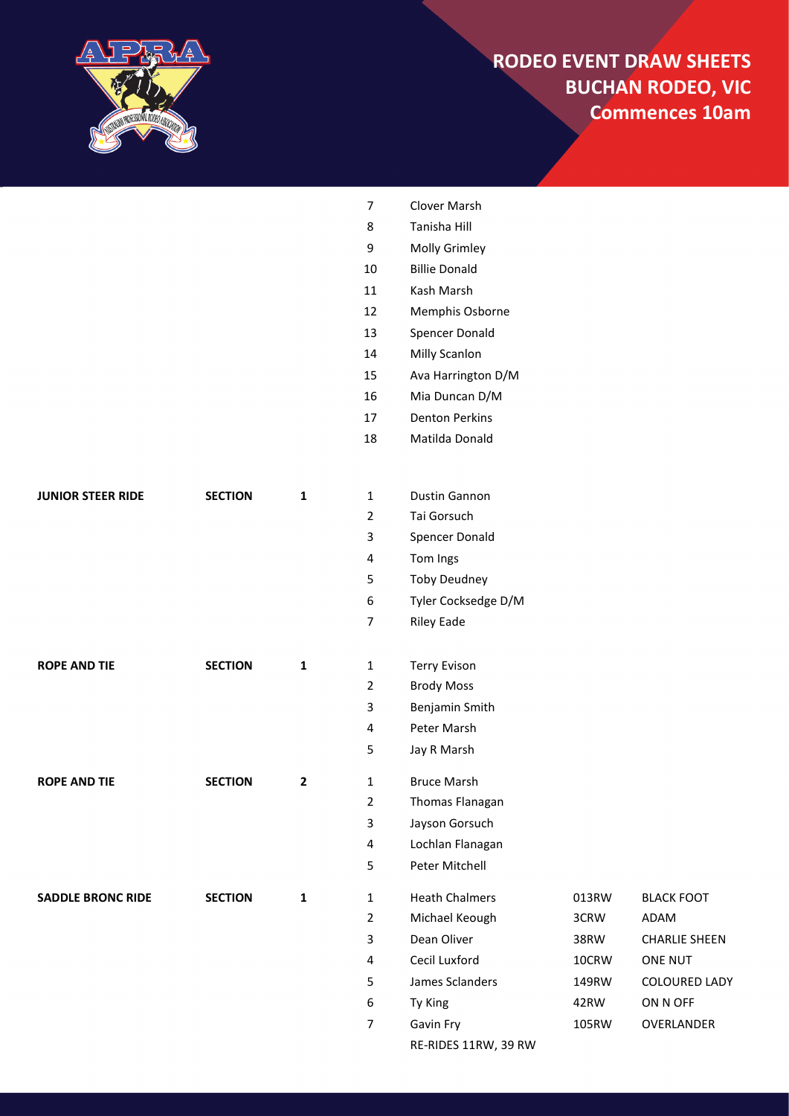

|                          |                |              | $\overline{7}$          | Clover Marsh          |       |                      |
|--------------------------|----------------|--------------|-------------------------|-----------------------|-------|----------------------|
|                          |                |              | 8                       | Tanisha Hill          |       |                      |
|                          |                |              | 9                       | Molly Grimley         |       |                      |
|                          |                |              | $10\,$                  | <b>Billie Donald</b>  |       |                      |
|                          |                |              | $11\,$                  | Kash Marsh            |       |                      |
|                          |                |              | 12                      | Memphis Osborne       |       |                      |
|                          |                |              | 13                      | Spencer Donald        |       |                      |
|                          |                |              | 14                      | Milly Scanlon         |       |                      |
|                          |                |              | 15                      | Ava Harrington D/M    |       |                      |
|                          |                |              | 16                      | Mia Duncan D/M        |       |                      |
|                          |                |              | 17                      | <b>Denton Perkins</b> |       |                      |
|                          |                |              | $18\,$                  | Matilda Donald        |       |                      |
|                          |                |              |                         |                       |       |                      |
| JUNIOR STEER RIDE        | <b>SECTION</b> | $\mathbf 1$  | 1                       | <b>Dustin Gannon</b>  |       |                      |
|                          |                |              | $\overline{2}$          | Tai Gorsuch           |       |                      |
|                          |                |              | 3                       | Spencer Donald        |       |                      |
|                          |                |              | 4                       | Tom Ings              |       |                      |
|                          |                |              | 5                       | <b>Toby Deudney</b>   |       |                      |
|                          |                |              | 6                       | Tyler Cocksedge D/M   |       |                      |
|                          |                |              | 7                       | <b>Riley Eade</b>     |       |                      |
| <b>ROPE AND TIE</b>      | <b>SECTION</b> | $\mathbf 1$  | $\mathbf{1}$            | <b>Terry Evison</b>   |       |                      |
|                          |                |              | 2                       | <b>Brody Moss</b>     |       |                      |
|                          |                |              | 3                       | Benjamin Smith        |       |                      |
|                          |                |              | 4                       | Peter Marsh           |       |                      |
|                          |                |              | 5                       | Jay R Marsh           |       |                      |
| <b>ROPE AND TIE</b>      | <b>SECTION</b> | 2            | 1                       | <b>Bruce Marsh</b>    |       |                      |
|                          |                |              | $\overline{2}$          | Thomas Flanagan       |       |                      |
|                          |                |              | 3                       | Jayson Gorsuch        |       |                      |
|                          |                |              | 4                       | Lochlan Flanagan      |       |                      |
|                          |                |              | 5                       | Peter Mitchell        |       |                      |
| <b>SADDLE BRONC RIDE</b> | <b>SECTION</b> | $\mathbf{1}$ | $\mathbf{1}$            | <b>Heath Chalmers</b> | 013RW | <b>BLACK FOOT</b>    |
|                          |                |              | $\overline{2}$          | Michael Keough        | 3CRW  | ADAM                 |
|                          |                |              | 3                       | Dean Oliver           | 38RW  | <b>CHARLIE SHEEN</b> |
|                          |                |              | $\overline{\mathbf{4}}$ | Cecil Luxford         | 10CRW | ONE NUT              |
|                          |                |              | 5                       | James Sclanders       | 149RW | <b>COLOURED LADY</b> |
|                          |                |              | 6                       | Ty King               | 42RW  | ON N OFF             |
|                          |                |              | $\overline{7}$          | Gavin Fry             | 105RW | OVERLANDER           |
|                          |                |              |                         | RE-RIDES 11RW, 39 RW  |       |                      |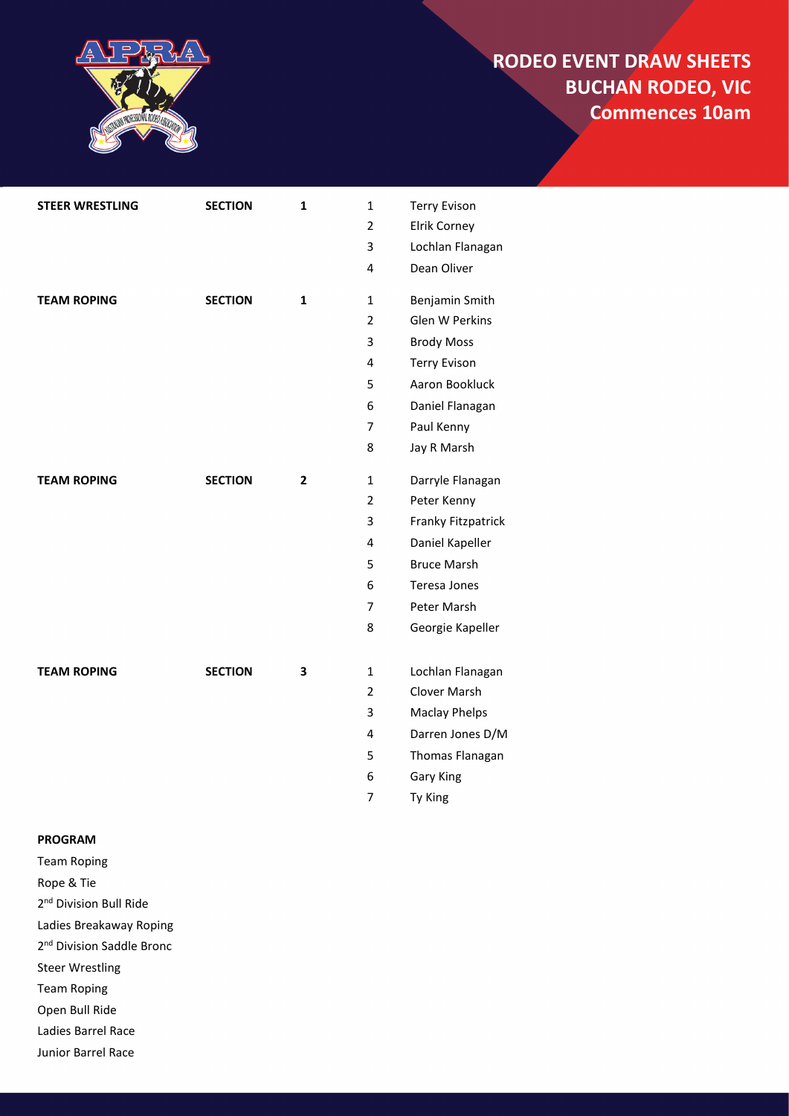

| <b>STEER WRESTLING</b> | <b>SECTION</b> | $\mathbf{1}$   | $\mathbf{1}$   | <b>Terry Evison</b>  |
|------------------------|----------------|----------------|----------------|----------------------|
|                        |                |                | $\overline{2}$ | Elrik Corney         |
|                        |                |                | 3              | Lochlan Flanagan     |
|                        |                |                | 4              | Dean Oliver          |
| <b>TEAM ROPING</b>     | <b>SECTION</b> | $\mathbf{1}$   | 1              | Benjamin Smith       |
|                        |                |                | 2              | Glen W Perkins       |
|                        |                |                | 3              | <b>Brody Moss</b>    |
|                        |                |                | 4              | <b>Terry Evison</b>  |
|                        |                |                | 5              | Aaron Bookluck       |
|                        |                |                | 6              | Daniel Flanagan      |
|                        |                |                | $\overline{7}$ | Paul Kenny           |
|                        |                |                | 8              | Jay R Marsh          |
| <b>TEAM ROPING</b>     | <b>SECTION</b> | $\overline{2}$ | $\mathbf{1}$   | Darryle Flanagan     |
|                        |                |                | $\overline{2}$ | Peter Kenny          |
|                        |                |                | 3              | Franky Fitzpatrick   |
|                        |                |                | 4              | Daniel Kapeller      |
|                        |                |                | 5              | <b>Bruce Marsh</b>   |
|                        |                |                | 6              | Teresa Jones         |
|                        |                |                | $\overline{7}$ | Peter Marsh          |
|                        |                |                | 8              | Georgie Kapeller     |
| <b>TEAM ROPING</b>     | <b>SECTION</b> | 3              | $\mathbf{1}$   | Lochlan Flanagan     |
|                        |                |                | 2              | <b>Clover Marsh</b>  |
|                        |                |                | 3              | <b>Maclay Phelps</b> |
|                        |                |                | 4              | Darren Jones D/M     |
|                        |                |                | 5              | Thomas Flanagan      |
|                        |                |                | 6              | <b>Gary King</b>     |
|                        |                |                | $\overline{7}$ | Ty King              |
|                        |                |                |                |                      |

#### <span id="page-3-0"></span>**PROGRAM**

Team Roping

Rope & Tie

2<sup>nd</sup> Division Bull Ride

Ladies Breakaway Roping

2<sup>nd</sup> Division Saddle Bronc

Steer Wrestling

Team Roping

Open Bull Ride

Ladies Barrel Race

Junior Barrel Race